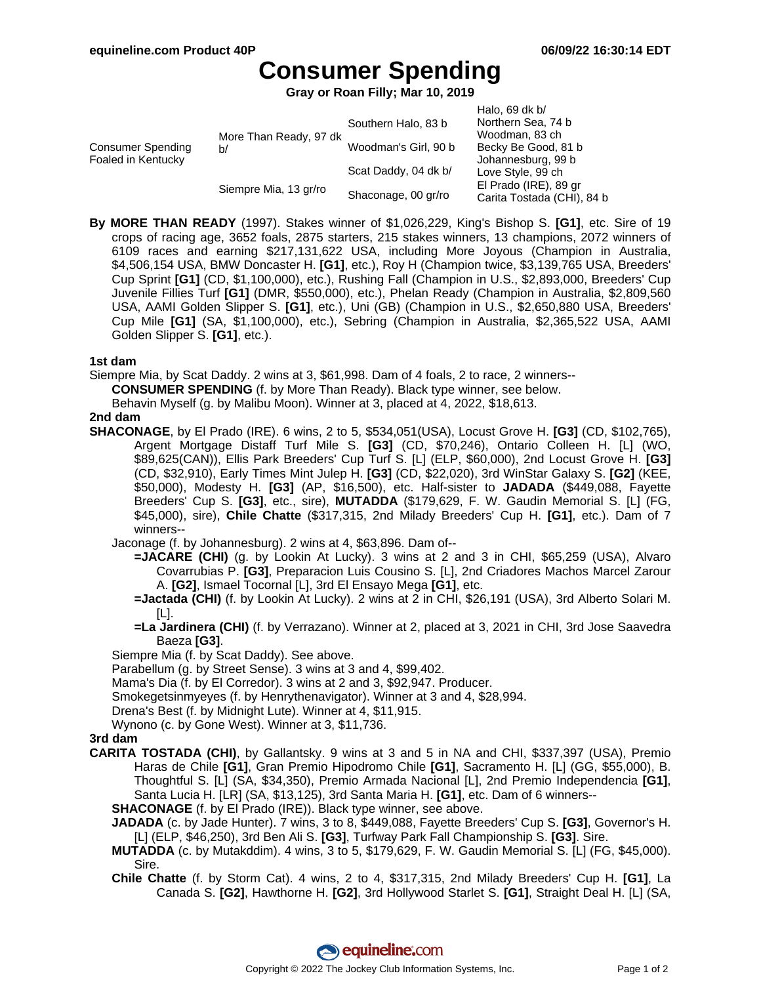# **Consumer Spending**

**Gray or Roan Filly; Mar 10, 2019**

|                                         |                              | Southern Halo, 83 b  | Halo, 69 dk $b/$<br>Northern Sea, 74 b |
|-----------------------------------------|------------------------------|----------------------|----------------------------------------|
| Consumer Spending<br>Foaled in Kentucky | More Than Ready, 97 dk<br>b/ |                      | Woodman, 83 ch                         |
|                                         |                              | Woodman's Girl, 90 b | Becky Be Good, 81 b                    |
|                                         |                              |                      | Johannesburg, 99 b                     |
|                                         | Siempre Mia, 13 gr/ro        | Scat Daddy, 04 dk b/ | Love Style, 99 ch                      |
|                                         |                              | Shaconage, 00 gr/ro  | El Prado (IRE), 89 gr                  |
|                                         |                              |                      | Carita Tostada (CHI), 84 b             |

**By MORE THAN READY** (1997). Stakes winner of \$1,026,229, King's Bishop S. **[G1]**, etc. Sire of 19 crops of racing age, 3652 foals, 2875 starters, 215 stakes winners, 13 champions, 2072 winners of 6109 races and earning \$217,131,622 USA, including More Joyous (Champion in Australia, \$4,506,154 USA, BMW Doncaster H. **[G1]**, etc.), Roy H (Champion twice, \$3,139,765 USA, Breeders' Cup Sprint **[G1]** (CD, \$1,100,000), etc.), Rushing Fall (Champion in U.S., \$2,893,000, Breeders' Cup Juvenile Fillies Turf **[G1]** (DMR, \$550,000), etc.), Phelan Ready (Champion in Australia, \$2,809,560 USA, AAMI Golden Slipper S. **[G1]**, etc.), Uni (GB) (Champion in U.S., \$2,650,880 USA, Breeders' Cup Mile **[G1]** (SA, \$1,100,000), etc.), Sebring (Champion in Australia, \$2,365,522 USA, AAMI Golden Slipper S. **[G1]**, etc.).

#### **1st dam**

Siempre Mia, by Scat Daddy. 2 wins at 3, \$61,998. Dam of 4 foals, 2 to race, 2 winners--

**CONSUMER SPENDING** (f. by More Than Ready). Black type winner, see below.

Behavin Myself (g. by Malibu Moon). Winner at 3, placed at 4, 2022, \$18,613.

### **2nd dam**

- **SHACONAGE**, by El Prado (IRE). 6 wins, 2 to 5, \$534,051(USA), Locust Grove H. **[G3]** (CD, \$102,765), Argent Mortgage Distaff Turf Mile S. **[G3]** (CD, \$70,246), Ontario Colleen H. [L] (WO, \$89,625(CAN)), Ellis Park Breeders' Cup Turf S. [L] (ELP, \$60,000), 2nd Locust Grove H. **[G3]** (CD, \$32,910), Early Times Mint Julep H. **[G3]** (CD, \$22,020), 3rd WinStar Galaxy S. **[G2]** (KEE, \$50,000), Modesty H. **[G3]** (AP, \$16,500), etc. Half-sister to **JADADA** (\$449,088, Fayette Breeders' Cup S. **[G3]**, etc., sire), **MUTADDA** (\$179,629, F. W. Gaudin Memorial S. [L] (FG, \$45,000), sire), **Chile Chatte** (\$317,315, 2nd Milady Breeders' Cup H. **[G1]**, etc.). Dam of 7 winners--
	- Jaconage (f. by Johannesburg). 2 wins at 4, \$63,896. Dam of--
		- **=JACARE (CHI)** (g. by Lookin At Lucky). 3 wins at 2 and 3 in CHI, \$65,259 (USA), Alvaro Covarrubias P. **[G3]**, Preparacion Luis Cousino S. [L], 2nd Criadores Machos Marcel Zarour A. **[G2]**, Ismael Tocornal [L], 3rd El Ensayo Mega **[G1]**, etc.
		- **=Jactada (CHI)** (f. by Lookin At Lucky). 2 wins at 2 in CHI, \$26,191 (USA), 3rd Alberto Solari M. [L].
		- **=La Jardinera (CHI)** (f. by Verrazano). Winner at 2, placed at 3, 2021 in CHI, 3rd Jose Saavedra Baeza **[G3]**.
	- Siempre Mia (f. by Scat Daddy). See above.
	- Parabellum (g. by Street Sense). 3 wins at 3 and 4, \$99,402.
	- Mama's Dia (f. by El Corredor). 3 wins at 2 and 3, \$92,947. Producer.
	- Smokegetsinmyeyes (f. by Henrythenavigator). Winner at 3 and 4, \$28,994.
	- Drena's Best (f. by Midnight Lute). Winner at 4, \$11,915.
	- Wynono (c. by Gone West). Winner at 3, \$11,736.

### **3rd dam**

- **CARITA TOSTADA (CHI)**, by Gallantsky. 9 wins at 3 and 5 in NA and CHI, \$337,397 (USA), Premio Haras de Chile **[G1]**, Gran Premio Hipodromo Chile **[G1]**, Sacramento H. [L] (GG, \$55,000), B. Thoughtful S. [L] (SA, \$34,350), Premio Armada Nacional [L], 2nd Premio Independencia **[G1]**, Santa Lucia H. [LR] (SA, \$13,125), 3rd Santa Maria H. **[G1]**, etc. Dam of 6 winners--
	- **SHACONAGE** (f. by El Prado (IRE)). Black type winner, see above.
	- **JADADA** (c. by Jade Hunter). 7 wins, 3 to 8, \$449,088, Fayette Breeders' Cup S. **[G3]**, Governor's H. [L] (ELP, \$46,250), 3rd Ben Ali S. **[G3]**, Turfway Park Fall Championship S. **[G3]**. Sire.
	- **MUTADDA** (c. by Mutakddim). 4 wins, 3 to 5, \$179,629, F. W. Gaudin Memorial S. [L] (FG, \$45,000). Sire.
	- **Chile Chatte** (f. by Storm Cat). 4 wins, 2 to 4, \$317,315, 2nd Milady Breeders' Cup H. **[G1]**, La Canada S. **[G2]**, Hawthorne H. **[G2]**, 3rd Hollywood Starlet S. **[G1]**, Straight Deal H. [L] (SA,